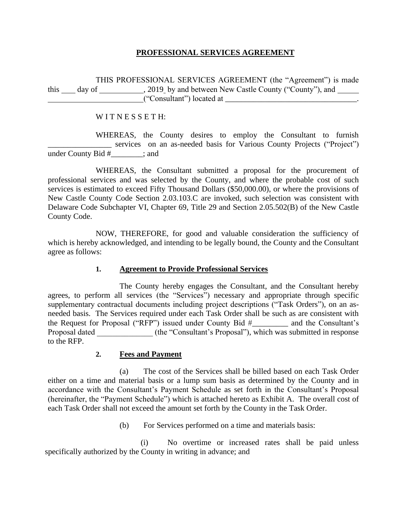## **PROFESSIONAL SERVICES AGREEMENT**

THIS PROFESSIONAL SERVICES AGREEMENT (the "Agreement") is made this \_\_\_\_\_ day of \_\_\_\_\_\_\_\_\_\_\_\_, 2019\_by and between New Castle County ("County"), and \_\_\_\_\_\_ ("Consultant") located at \_\_\_\_\_\_\_\_\_\_\_\_\_\_\_\_\_\_\_\_\_\_\_\_\_\_\_\_\_\_\_\_\_.

WITNESSETH:

WHEREAS, the County desires to employ the Consultant to furnish \_\_\_\_\_\_\_\_\_\_\_\_\_\_\_\_ services on an as-needed basis for Various County Projects ("Project") under County Bid #\_\_\_\_\_\_\_\_; and

WHEREAS, the Consultant submitted a proposal for the procurement of professional services and was selected by the County, and where the probable cost of such services is estimated to exceed Fifty Thousand Dollars (\$50,000.00), or where the provisions of New Castle County Code Section 2.03.103.C are invoked, such selection was consistent with Delaware Code Subchapter VI, Chapter 69, Title 29 and Section 2.05.502(B) of the New Castle County Code.

NOW, THEREFORE, for good and valuable consideration the sufficiency of which is hereby acknowledged, and intending to be legally bound, the County and the Consultant agree as follows:

## **1. Agreement to Provide Professional Services**

The County hereby engages the Consultant, and the Consultant hereby agrees, to perform all services (the "Services") necessary and appropriate through specific supplementary contractual documents including project descriptions ("Task Orders"), on an asneeded basis. The Services required under each Task Order shall be such as are consistent with the Request for Proposal ("RFP") issued under County Bid #\_\_\_\_\_\_\_\_\_ and the Consultant's Proposal dated \_\_\_\_\_\_\_\_\_\_\_\_\_\_ (the "Consultant's Proposal"), which was submitted in response to the RFP.

## **2. Fees and Payment**

(a) The cost of the Services shall be billed based on each Task Order either on a time and material basis or a lump sum basis as determined by the County and in accordance with the Consultant's Payment Schedule as set forth in the Consultant's Proposal (hereinafter, the "Payment Schedule") which is attached hereto as Exhibit A. The overall cost of each Task Order shall not exceed the amount set forth by the County in the Task Order.

(b) For Services performed on a time and materials basis:

(i) No overtime or increased rates shall be paid unless specifically authorized by the County in writing in advance; and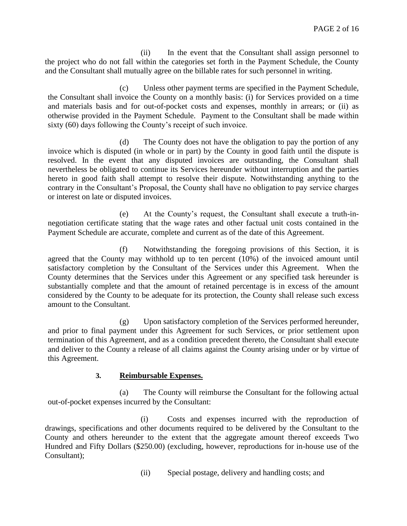(ii) In the event that the Consultant shall assign personnel to the project who do not fall within the categories set forth in the Payment Schedule, the County and the Consultant shall mutually agree on the billable rates for such personnel in writing.

(c) Unless other payment terms are specified in the Payment Schedule, the Consultant shall invoice the County on a monthly basis: (i) for Services provided on a time and materials basis and for out-of-pocket costs and expenses, monthly in arrears; or (ii) as otherwise provided in the Payment Schedule. Payment to the Consultant shall be made within sixty (60) days following the County's receipt of such invoice.

(d) The County does not have the obligation to pay the portion of any invoice which is disputed (in whole or in part) by the County in good faith until the dispute is resolved. In the event that any disputed invoices are outstanding, the Consultant shall nevertheless be obligated to continue its Services hereunder without interruption and the parties hereto in good faith shall attempt to resolve their dispute. Notwithstanding anything to the contrary in the Consultant's Proposal, the County shall have no obligation to pay service charges or interest on late or disputed invoices.

(e) At the County's request, the Consultant shall execute a truth-innegotiation certificate stating that the wage rates and other factual unit costs contained in the Payment Schedule are accurate, complete and current as of the date of this Agreement.

(f) Notwithstanding the foregoing provisions of this Section, it is agreed that the County may withhold up to ten percent (10%) of the invoiced amount until satisfactory completion by the Consultant of the Services under this Agreement. When the County determines that the Services under this Agreement or any specified task hereunder is substantially complete and that the amount of retained percentage is in excess of the amount considered by the County to be adequate for its protection, the County shall release such excess amount to the Consultant.

(g) Upon satisfactory completion of the Services performed hereunder, and prior to final payment under this Agreement for such Services, or prior settlement upon termination of this Agreement, and as a condition precedent thereto, the Consultant shall execute and deliver to the County a release of all claims against the County arising under or by virtue of this Agreement.

## **3. Reimbursable Expenses.**

(a) The County will reimburse the Consultant for the following actual out-of-pocket expenses incurred by the Consultant:

(i) Costs and expenses incurred with the reproduction of drawings, specifications and other documents required to be delivered by the Consultant to the County and others hereunder to the extent that the aggregate amount thereof exceeds Two Hundred and Fifty Dollars (\$250.00) (excluding, however, reproductions for in-house use of the Consultant);

(ii) Special postage, delivery and handling costs; and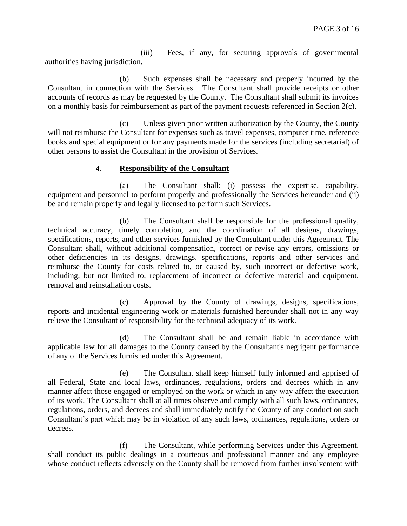(iii) Fees, if any, for securing approvals of governmental authorities having jurisdiction.

(b) Such expenses shall be necessary and properly incurred by the Consultant in connection with the Services. The Consultant shall provide receipts or other accounts of records as may be requested by the County. The Consultant shall submit its invoices on a monthly basis for reimbursement as part of the payment requests referenced in Section 2(c).

(c) Unless given prior written authorization by the County, the County will not reimburse the Consultant for expenses such as travel expenses, computer time, reference books and special equipment or for any payments made for the services (including secretarial) of other persons to assist the Consultant in the provision of Services.

## **4. Responsibility of the Consultant**

(a) The Consultant shall: (i) possess the expertise, capability, equipment and personnel to perform properly and professionally the Services hereunder and (ii) be and remain properly and legally licensed to perform such Services.

(b) The Consultant shall be responsible for the professional quality, technical accuracy, timely completion, and the coordination of all designs, drawings, specifications, reports, and other services furnished by the Consultant under this Agreement. The Consultant shall, without additional compensation, correct or revise any errors, omissions or other deficiencies in its designs, drawings, specifications, reports and other services and reimburse the County for costs related to, or caused by, such incorrect or defective work, including, but not limited to, replacement of incorrect or defective material and equipment, removal and reinstallation costs.

(c) Approval by the County of drawings, designs, specifications, reports and incidental engineering work or materials furnished hereunder shall not in any way relieve the Consultant of responsibility for the technical adequacy of its work.

(d) The Consultant shall be and remain liable in accordance with applicable law for all damages to the County caused by the Consultant's negligent performance of any of the Services furnished under this Agreement.

(e) The Consultant shall keep himself fully informed and apprised of all Federal, State and local laws, ordinances, regulations, orders and decrees which in any manner affect those engaged or employed on the work or which in any way affect the execution of its work. The Consultant shall at all times observe and comply with all such laws, ordinances, regulations, orders, and decrees and shall immediately notify the County of any conduct on such Consultant's part which may be in violation of any such laws, ordinances, regulations, orders or decrees.

(f) The Consultant, while performing Services under this Agreement, shall conduct its public dealings in a courteous and professional manner and any employee whose conduct reflects adversely on the County shall be removed from further involvement with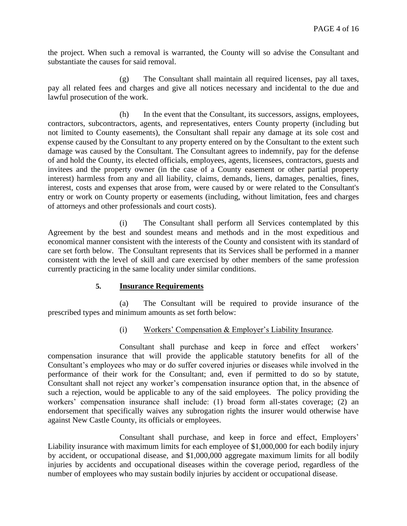the project. When such a removal is warranted, the County will so advise the Consultant and substantiate the causes for said removal.

(g) The Consultant shall maintain all required licenses, pay all taxes, pay all related fees and charges and give all notices necessary and incidental to the due and lawful prosecution of the work.

(h) In the event that the Consultant, its successors, assigns, employees, contractors, subcontractors, agents, and representatives, enters County property (including but not limited to County easements), the Consultant shall repair any damage at its sole cost and expense caused by the Consultant to any property entered on by the Consultant to the extent such damage was caused by the Consultant. The Consultant agrees to indemnify, pay for the defense of and hold the County, its elected officials, employees, agents, licensees, contractors, guests and invitees and the property owner (in the case of a County easement or other partial property interest) harmless from any and all liability, claims, demands, liens, damages, penalties, fines, interest, costs and expenses that arose from, were caused by or were related to the Consultant's entry or work on County property or easements (including, without limitation, fees and charges of attorneys and other professionals and court costs).

(i) The Consultant shall perform all Services contemplated by this Agreement by the best and soundest means and methods and in the most expeditious and economical manner consistent with the interests of the County and consistent with its standard of care set forth below. The Consultant represents that its Services shall be performed in a manner consistent with the level of skill and care exercised by other members of the same profession currently practicing in the same locality under similar conditions.

## **5. Insurance Requirements**

(a) The Consultant will be required to provide insurance of the prescribed types and minimum amounts as set forth below:

## (i) Workers' Compensation & Employer's Liability Insurance.

Consultant shall purchase and keep in force and effect workers' compensation insurance that will provide the applicable statutory benefits for all of the Consultant's employees who may or do suffer covered injuries or diseases while involved in the performance of their work for the Consultant; and, even if permitted to do so by statute, Consultant shall not reject any worker's compensation insurance option that, in the absence of such a rejection, would be applicable to any of the said employees. The policy providing the workers' compensation insurance shall include: (1) broad form all-states coverage; (2) an endorsement that specifically waives any subrogation rights the insurer would otherwise have against New Castle County, its officials or employees.

Consultant shall purchase, and keep in force and effect, Employers' Liability insurance with maximum limits for each employee of \$1,000,000 for each bodily injury by accident, or occupational disease, and \$1,000,000 aggregate maximum limits for all bodily injuries by accidents and occupational diseases within the coverage period, regardless of the number of employees who may sustain bodily injuries by accident or occupational disease.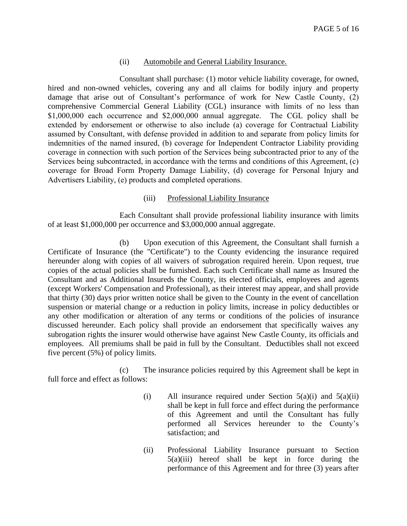### (ii) Automobile and General Liability Insurance.

Consultant shall purchase: (1) motor vehicle liability coverage, for owned, hired and non-owned vehicles, covering any and all claims for bodily injury and property damage that arise out of Consultant's performance of work for New Castle County, (2) comprehensive Commercial General Liability (CGL) insurance with limits of no less than \$1,000,000 each occurrence and \$2,000,000 annual aggregate. The CGL policy shall be extended by endorsement or otherwise to also include (a) coverage for Contractual Liability assumed by Consultant, with defense provided in addition to and separate from policy limits for indemnities of the named insured, (b) coverage for Independent Contractor Liability providing coverage in connection with such portion of the Services being subcontracted prior to any of the Services being subcontracted, in accordance with the terms and conditions of this Agreement, (c) coverage for Broad Form Property Damage Liability, (d) coverage for Personal Injury and Advertisers Liability, (e) products and completed operations.

#### (iii) Professional Liability Insurance

Each Consultant shall provide professional liability insurance with limits of at least \$1,000,000 per occurrence and \$3,000,000 annual aggregate.

(b) Upon execution of this Agreement, the Consultant shall furnish a Certificate of Insurance (the "Certificate") to the County evidencing the insurance required hereunder along with copies of all waivers of subrogation required herein. Upon request, true copies of the actual policies shall be furnished. Each such Certificate shall name as Insured the Consultant and as Additional Insureds the County, its elected officials, employees and agents (except Workers' Compensation and Professional), as their interest may appear, and shall provide that thirty (30) days prior written notice shall be given to the County in the event of cancellation suspension or material change or a reduction in policy limits, increase in policy deductibles or any other modification or alteration of any terms or conditions of the policies of insurance discussed hereunder. Each policy shall provide an endorsement that specifically waives any subrogation rights the insurer would otherwise have against New Castle County, its officials and employees. All premiums shall be paid in full by the Consultant. Deductibles shall not exceed five percent (5%) of policy limits.

(c) The insurance policies required by this Agreement shall be kept in full force and effect as follows:

- (i) All insurance required under Section  $5(a)(i)$  and  $5(a)(ii)$ shall be kept in full force and effect during the performance of this Agreement and until the Consultant has fully performed all Services hereunder to the County's satisfaction; and
- (ii) Professional Liability Insurance pursuant to Section  $5(a)(iii)$  hereof shall be kept in force during the performance of this Agreement and for three (3) years after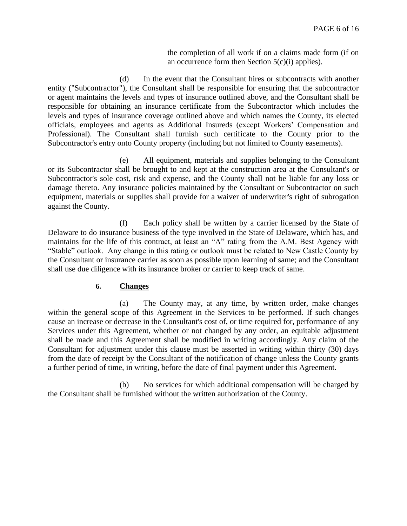the completion of all work if on a claims made form (if on an occurrence form then Section 5(c)(i) applies).

(d) In the event that the Consultant hires or subcontracts with another entity ("Subcontractor"), the Consultant shall be responsible for ensuring that the subcontractor or agent maintains the levels and types of insurance outlined above, and the Consultant shall be responsible for obtaining an insurance certificate from the Subcontractor which includes the levels and types of insurance coverage outlined above and which names the County, its elected officials, employees and agents as Additional Insureds (except Workers' Compensation and Professional). The Consultant shall furnish such certificate to the County prior to the Subcontractor's entry onto County property (including but not limited to County easements).

(e) All equipment, materials and supplies belonging to the Consultant or its Subcontractor shall be brought to and kept at the construction area at the Consultant's or Subcontractor's sole cost, risk and expense, and the County shall not be liable for any loss or damage thereto. Any insurance policies maintained by the Consultant or Subcontractor on such equipment, materials or supplies shall provide for a waiver of underwriter's right of subrogation against the County.

(f) Each policy shall be written by a carrier licensed by the State of Delaware to do insurance business of the type involved in the State of Delaware, which has, and maintains for the life of this contract, at least an "A" rating from the A.M. Best Agency with "Stable" outlook. Any change in this rating or outlook must be related to New Castle County by the Consultant or insurance carrier as soon as possible upon learning of same; and the Consultant shall use due diligence with its insurance broker or carrier to keep track of same.

#### **6. Changes**

(a) The County may, at any time, by written order, make changes within the general scope of this Agreement in the Services to be performed. If such changes cause an increase or decrease in the Consultant's cost of, or time required for, performance of any Services under this Agreement, whether or not changed by any order, an equitable adjustment shall be made and this Agreement shall be modified in writing accordingly. Any claim of the Consultant for adjustment under this clause must be asserted in writing within thirty (30) days from the date of receipt by the Consultant of the notification of change unless the County grants a further period of time, in writing, before the date of final payment under this Agreement.

(b) No services for which additional compensation will be charged by the Consultant shall be furnished without the written authorization of the County.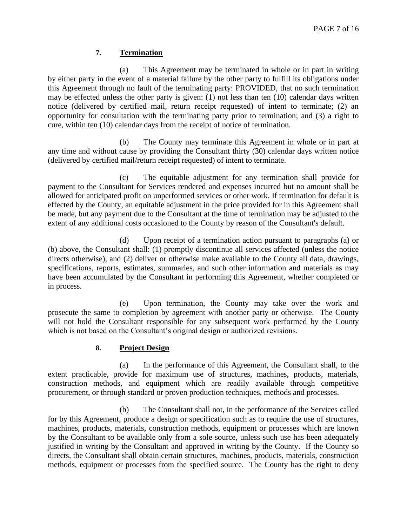# **7. Termination**

(a) This Agreement may be terminated in whole or in part in writing by either party in the event of a material failure by the other party to fulfill its obligations under this Agreement through no fault of the terminating party: PROVIDED, that no such termination may be effected unless the other party is given: (1) not less than ten (10) calendar days written notice (delivered by certified mail, return receipt requested) of intent to terminate; (2) an opportunity for consultation with the terminating party prior to termination; and (3) a right to cure, within ten (10) calendar days from the receipt of notice of termination.

(b) The County may terminate this Agreement in whole or in part at any time and without cause by providing the Consultant thirty (30) calendar days written notice (delivered by certified mail/return receipt requested) of intent to terminate.

(c) The equitable adjustment for any termination shall provide for payment to the Consultant for Services rendered and expenses incurred but no amount shall be allowed for anticipated profit on unperformed services or other work. If termination for default is effected by the County, an equitable adjustment in the price provided for in this Agreement shall be made, but any payment due to the Consultant at the time of termination may be adjusted to the extent of any additional costs occasioned to the County by reason of the Consultant's default.

(d) Upon receipt of a termination action pursuant to paragraphs (a) or (b) above, the Consultant shall: (1) promptly discontinue all services affected (unless the notice directs otherwise), and (2) deliver or otherwise make available to the County all data, drawings, specifications, reports, estimates, summaries, and such other information and materials as may have been accumulated by the Consultant in performing this Agreement, whether completed or in process.

(e) Upon termination, the County may take over the work and prosecute the same to completion by agreement with another party or otherwise. The County will not hold the Consultant responsible for any subsequent work performed by the County which is not based on the Consultant's original design or authorized revisions.

# **8. Project Design**

(a) In the performance of this Agreement, the Consultant shall, to the extent practicable, provide for maximum use of structures, machines, products, materials, construction methods, and equipment which are readily available through competitive procurement, or through standard or proven production techniques, methods and processes.

(b) The Consultant shall not, in the performance of the Services called for by this Agreement, produce a design or specification such as to require the use of structures, machines, products, materials, construction methods, equipment or processes which are known by the Consultant to be available only from a sole source, unless such use has been adequately justified in writing by the Consultant and approved in writing by the County. If the County so directs, the Consultant shall obtain certain structures, machines, products, materials, construction methods, equipment or processes from the specified source. The County has the right to deny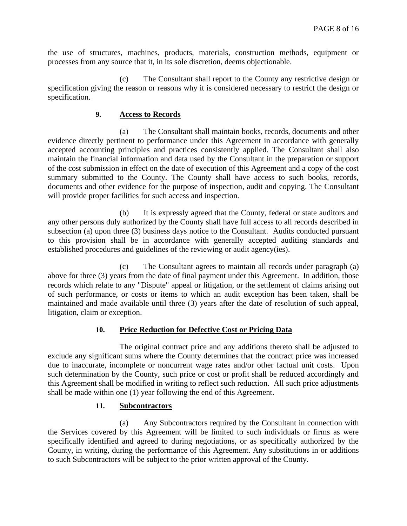the use of structures, machines, products, materials, construction methods, equipment or processes from any source that it, in its sole discretion, deems objectionable.

(c) The Consultant shall report to the County any restrictive design or specification giving the reason or reasons why it is considered necessary to restrict the design or specification.

# **9. Access to Records**

(a) The Consultant shall maintain books, records, documents and other evidence directly pertinent to performance under this Agreement in accordance with generally accepted accounting principles and practices consistently applied. The Consultant shall also maintain the financial information and data used by the Consultant in the preparation or support of the cost submission in effect on the date of execution of this Agreement and a copy of the cost summary submitted to the County. The County shall have access to such books, records, documents and other evidence for the purpose of inspection, audit and copying. The Consultant will provide proper facilities for such access and inspection.

(b) It is expressly agreed that the County, federal or state auditors and any other persons duly authorized by the County shall have full access to all records described in subsection (a) upon three (3) business days notice to the Consultant. Audits conducted pursuant to this provision shall be in accordance with generally accepted auditing standards and established procedures and guidelines of the reviewing or audit agency(ies).

(c) The Consultant agrees to maintain all records under paragraph (a) above for three (3) years from the date of final payment under this Agreement. In addition, those records which relate to any "Dispute" appeal or litigation, or the settlement of claims arising out of such performance, or costs or items to which an audit exception has been taken, shall be maintained and made available until three (3) years after the date of resolution of such appeal, litigation, claim or exception.

## **10. Price Reduction for Defective Cost or Pricing Data**

The original contract price and any additions thereto shall be adjusted to exclude any significant sums where the County determines that the contract price was increased due to inaccurate, incomplete or noncurrent wage rates and/or other factual unit costs. Upon such determination by the County, such price or cost or profit shall be reduced accordingly and this Agreement shall be modified in writing to reflect such reduction. All such price adjustments shall be made within one (1) year following the end of this Agreement.

## **11. Subcontractors**

(a) Any Subcontractors required by the Consultant in connection with the Services covered by this Agreement will be limited to such individuals or firms as were specifically identified and agreed to during negotiations, or as specifically authorized by the County, in writing, during the performance of this Agreement. Any substitutions in or additions to such Subcontractors will be subject to the prior written approval of the County.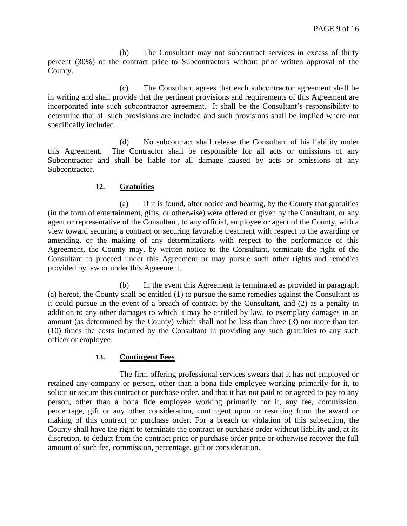(b) The Consultant may not subcontract services in excess of thirty percent (30%) of the contract price to Subcontractors without prior written approval of the County.

(c) The Consultant agrees that each subcontractor agreement shall be in writing and shall provide that the pertinent provisions and requirements of this Agreement are incorporated into such subcontractor agreement. It shall be the Consultant's responsibility to determine that all such provisions are included and such provisions shall be implied where not specifically included.

(d) No subcontract shall release the Consultant of his liability under this Agreement. The Contractor shall be responsible for all acts or omissions of any Subcontractor and shall be liable for all damage caused by acts or omissions of any Subcontractor.

## **12. Gratuities**

(a) If it is found, after notice and hearing, by the County that gratuities (in the form of entertainment, gifts, or otherwise) were offered or given by the Consultant, or any agent or representative of the Consultant, to any official, employee or agent of the County, with a view toward securing a contract or securing favorable treatment with respect to the awarding or amending, or the making of any determinations with respect to the performance of this Agreement, the County may, by written notice to the Consultant, terminate the right of the Consultant to proceed under this Agreement or may pursue such other rights and remedies provided by law or under this Agreement.

(b) In the event this Agreement is terminated as provided in paragraph (a) hereof, the County shall be entitled (1) to pursue the same remedies against the Consultant as it could pursue in the event of a breach of contract by the Consultant, and (2) as a penalty in addition to any other damages to which it may be entitled by law, to exemplary damages in an amount (as determined by the County) which shall not be less than three (3) nor more than ten (10) times the costs incurred by the Consultant in providing any such gratuities to any such officer or employee.

## **13. Contingent Fees**

The firm offering professional services swears that it has not employed or retained any company or person, other than a bona fide employee working primarily for it, to solicit or secure this contract or purchase order, and that it has not paid to or agreed to pay to any person, other than a bona fide employee working primarily for it, any fee, commission, percentage, gift or any other consideration, contingent upon or resulting from the award or making of this contract or purchase order. For a breach or violation of this subsection, the County shall have the right to terminate the contract or purchase order without liability and, at its discretion, to deduct from the contract price or purchase order price or otherwise recover the full amount of such fee, commission, percentage, gift or consideration.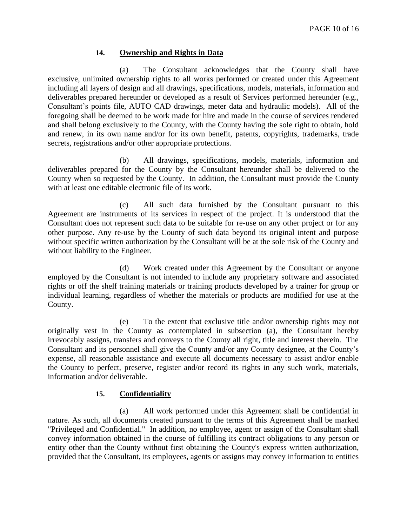## **14. Ownership and Rights in Data**

(a) The Consultant acknowledges that the County shall have exclusive, unlimited ownership rights to all works performed or created under this Agreement including all layers of design and all drawings, specifications, models, materials, information and deliverables prepared hereunder or developed as a result of Services performed hereunder (e.g., Consultant's points file, AUTO CAD drawings, meter data and hydraulic models). All of the foregoing shall be deemed to be work made for hire and made in the course of services rendered and shall belong exclusively to the County, with the County having the sole right to obtain, hold and renew, in its own name and/or for its own benefit, patents, copyrights, trademarks, trade secrets, registrations and/or other appropriate protections.

(b) All drawings, specifications, models, materials, information and deliverables prepared for the County by the Consultant hereunder shall be delivered to the County when so requested by the County. In addition, the Consultant must provide the County with at least one editable electronic file of its work.

(c) All such data furnished by the Consultant pursuant to this Agreement are instruments of its services in respect of the project. It is understood that the Consultant does not represent such data to be suitable for re-use on any other project or for any other purpose. Any re-use by the County of such data beyond its original intent and purpose without specific written authorization by the Consultant will be at the sole risk of the County and without liability to the Engineer.

(d) Work created under this Agreement by the Consultant or anyone employed by the Consultant is not intended to include any proprietary software and associated rights or off the shelf training materials or training products developed by a trainer for group or individual learning, regardless of whether the materials or products are modified for use at the County.

(e) To the extent that exclusive title and/or ownership rights may not originally vest in the County as contemplated in subsection (a), the Consultant hereby irrevocably assigns, transfers and conveys to the County all right, title and interest therein. The Consultant and its personnel shall give the County and/or any County designee, at the County's expense, all reasonable assistance and execute all documents necessary to assist and/or enable the County to perfect, preserve, register and/or record its rights in any such work, materials, information and/or deliverable.

## **15. Confidentiality**

(a) All work performed under this Agreement shall be confidential in nature. As such, all documents created pursuant to the terms of this Agreement shall be marked "Privileged and Confidential." In addition, no employee, agent or assign of the Consultant shall convey information obtained in the course of fulfilling its contract obligations to any person or entity other than the County without first obtaining the County's express written authorization, provided that the Consultant, its employees, agents or assigns may convey information to entities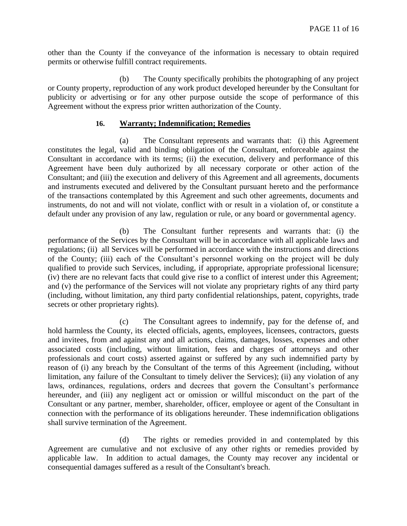other than the County if the conveyance of the information is necessary to obtain required permits or otherwise fulfill contract requirements.

(b) The County specifically prohibits the photographing of any project or County property, reproduction of any work product developed hereunder by the Consultant for publicity or advertising or for any other purpose outside the scope of performance of this Agreement without the express prior written authorization of the County.

#### **16. Warranty; Indemnification; Remedies**

(a) The Consultant represents and warrants that: (i) this Agreement constitutes the legal, valid and binding obligation of the Consultant, enforceable against the Consultant in accordance with its terms; (ii) the execution, delivery and performance of this Agreement have been duly authorized by all necessary corporate or other action of the Consultant; and (iii) the execution and delivery of this Agreement and all agreements, documents and instruments executed and delivered by the Consultant pursuant hereto and the performance of the transactions contemplated by this Agreement and such other agreements, documents and instruments, do not and will not violate, conflict with or result in a violation of, or constitute a default under any provision of any law, regulation or rule, or any board or governmental agency.

(b) The Consultant further represents and warrants that: (i) the performance of the Services by the Consultant will be in accordance with all applicable laws and regulations; (ii) all Services will be performed in accordance with the instructions and directions of the County; (iii) each of the Consultant's personnel working on the project will be duly qualified to provide such Services, including, if appropriate, appropriate professional licensure; (iv) there are no relevant facts that could give rise to a conflict of interest under this Agreement; and (v) the performance of the Services will not violate any proprietary rights of any third party (including, without limitation, any third party confidential relationships, patent, copyrights, trade secrets or other proprietary rights).

(c) The Consultant agrees to indemnify, pay for the defense of, and hold harmless the County, its elected officials, agents, employees, licensees, contractors, guests and invitees, from and against any and all actions, claims, damages, losses, expenses and other associated costs (including, without limitation, fees and charges of attorneys and other professionals and court costs) asserted against or suffered by any such indemnified party by reason of (i) any breach by the Consultant of the terms of this Agreement (including, without limitation, any failure of the Consultant to timely deliver the Services); (ii) any violation of any laws, ordinances, regulations, orders and decrees that govern the Consultant's performance hereunder, and (iii) any negligent act or omission or willful misconduct on the part of the Consultant or any partner, member, shareholder, officer, employee or agent of the Consultant in connection with the performance of its obligations hereunder. These indemnification obligations shall survive termination of the Agreement.

(d) The rights or remedies provided in and contemplated by this Agreement are cumulative and not exclusive of any other rights or remedies provided by applicable law. In addition to actual damages, the County may recover any incidental or consequential damages suffered as a result of the Consultant's breach.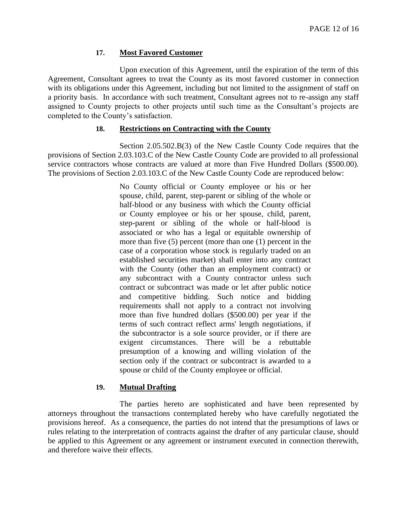## **17. Most Favored Customer**

Upon execution of this Agreement, until the expiration of the term of this Agreement, Consultant agrees to treat the County as its most favored customer in connection with its obligations under this Agreement, including but not limited to the assignment of staff on a priority basis. In accordance with such treatment, Consultant agrees not to re-assign any staff assigned to County projects to other projects until such time as the Consultant's projects are completed to the County's satisfaction.

## **18. Restrictions on Contracting with the County**

Section 2.05.502.B(3) of the New Castle County Code requires that the provisions of Section 2.03.103.C of the New Castle County Code are provided to all professional service contractors whose contracts are valued at more than Five Hundred Dollars (\$500.00). The provisions of Section 2.03.103.C of the New Castle County Code are reproduced below:

> No County official or County employee or his or her spouse, child, parent, step-parent or sibling of the whole or half-blood or any business with which the County official or County employee or his or her spouse, child, parent, step-parent or sibling of the whole or half-blood is associated or who has a legal or equitable ownership of more than five (5) percent (more than one (1) percent in the case of a corporation whose stock is regularly traded on an established securities market) shall enter into any contract with the County (other than an employment contract) or any subcontract with a County contractor unless such contract or subcontract was made or let after public notice and competitive bidding. Such notice and bidding requirements shall not apply to a contract not involving more than five hundred dollars (\$500.00) per year if the terms of such contract reflect arms' length negotiations, if the subcontractor is a sole source provider, or if there are exigent circumstances. There will be a rebuttable presumption of a knowing and willing violation of the section only if the contract or subcontract is awarded to a spouse or child of the County employee or official.

## **19. Mutual Drafting**

The parties hereto are sophisticated and have been represented by attorneys throughout the transactions contemplated hereby who have carefully negotiated the provisions hereof. As a consequence, the parties do not intend that the presumptions of laws or rules relating to the interpretation of contracts against the drafter of any particular clause, should be applied to this Agreement or any agreement or instrument executed in connection therewith, and therefore waive their effects.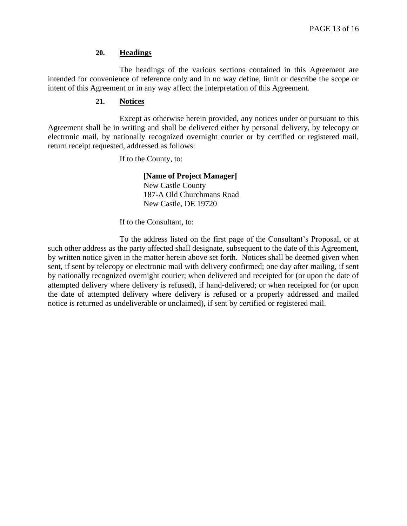#### **20. Headings**

The headings of the various sections contained in this Agreement are intended for convenience of reference only and in no way define, limit or describe the scope or intent of this Agreement or in any way affect the interpretation of this Agreement.

#### **21. Notices**

Except as otherwise herein provided, any notices under or pursuant to this Agreement shall be in writing and shall be delivered either by personal delivery, by telecopy or electronic mail, by nationally recognized overnight courier or by certified or registered mail, return receipt requested, addressed as follows:

If to the County, to:

**[Name of Project Manager]** New Castle County 187-A Old Churchmans Road New Castle, DE 19720

If to the Consultant, to:

To the address listed on the first page of the Consultant's Proposal, or at such other address as the party affected shall designate, subsequent to the date of this Agreement, by written notice given in the matter herein above set forth. Notices shall be deemed given when sent, if sent by telecopy or electronic mail with delivery confirmed; one day after mailing, if sent by nationally recognized overnight courier; when delivered and receipted for (or upon the date of attempted delivery where delivery is refused), if hand-delivered; or when receipted for (or upon the date of attempted delivery where delivery is refused or a properly addressed and mailed notice is returned as undeliverable or unclaimed), if sent by certified or registered mail.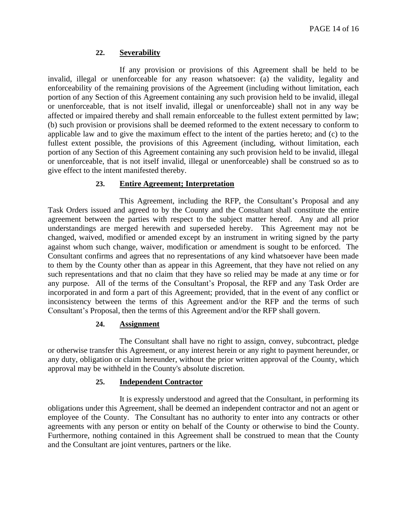# **22. Severability**

If any provision or provisions of this Agreement shall be held to be invalid, illegal or unenforceable for any reason whatsoever: (a) the validity, legality and enforceability of the remaining provisions of the Agreement (including without limitation, each portion of any Section of this Agreement containing any such provision held to be invalid, illegal or unenforceable, that is not itself invalid, illegal or unenforceable) shall not in any way be affected or impaired thereby and shall remain enforceable to the fullest extent permitted by law; (b) such provision or provisions shall be deemed reformed to the extent necessary to conform to applicable law and to give the maximum effect to the intent of the parties hereto; and (c) to the fullest extent possible, the provisions of this Agreement (including, without limitation, each portion of any Section of this Agreement containing any such provision held to be invalid, illegal or unenforceable, that is not itself invalid, illegal or unenforceable) shall be construed so as to give effect to the intent manifested thereby.

## **23. Entire Agreement; Interpretation**

This Agreement, including the RFP, the Consultant's Proposal and any Task Orders issued and agreed to by the County and the Consultant shall constitute the entire agreement between the parties with respect to the subject matter hereof. Any and all prior understandings are merged herewith and superseded hereby. This Agreement may not be changed, waived, modified or amended except by an instrument in writing signed by the party against whom such change, waiver, modification or amendment is sought to be enforced. The Consultant confirms and agrees that no representations of any kind whatsoever have been made to them by the County other than as appear in this Agreement, that they have not relied on any such representations and that no claim that they have so relied may be made at any time or for any purpose. All of the terms of the Consultant's Proposal, the RFP and any Task Order are incorporated in and form a part of this Agreement; provided, that in the event of any conflict or inconsistency between the terms of this Agreement and/or the RFP and the terms of such Consultant's Proposal, then the terms of this Agreement and/or the RFP shall govern.

## **24. Assignment**

The Consultant shall have no right to assign, convey, subcontract, pledge or otherwise transfer this Agreement, or any interest herein or any right to payment hereunder, or any duty, obligation or claim hereunder, without the prior written approval of the County, which approval may be withheld in the County's absolute discretion.

## **25. Independent Contractor**

It is expressly understood and agreed that the Consultant, in performing its obligations under this Agreement, shall be deemed an independent contractor and not an agent or employee of the County. The Consultant has no authority to enter into any contracts or other agreements with any person or entity on behalf of the County or otherwise to bind the County. Furthermore, nothing contained in this Agreement shall be construed to mean that the County and the Consultant are joint ventures, partners or the like.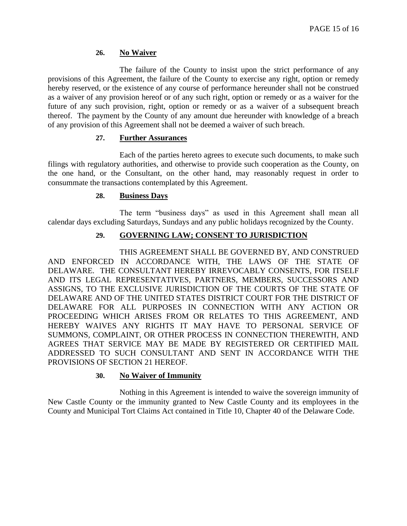# **26. No Waiver**

The failure of the County to insist upon the strict performance of any provisions of this Agreement, the failure of the County to exercise any right, option or remedy hereby reserved, or the existence of any course of performance hereunder shall not be construed as a waiver of any provision hereof or of any such right, option or remedy or as a waiver for the future of any such provision, right, option or remedy or as a waiver of a subsequent breach thereof. The payment by the County of any amount due hereunder with knowledge of a breach of any provision of this Agreement shall not be deemed a waiver of such breach.

## **27. Further Assurances**

Each of the parties hereto agrees to execute such documents, to make such filings with regulatory authorities, and otherwise to provide such cooperation as the County, on the one hand, or the Consultant, on the other hand, may reasonably request in order to consummate the transactions contemplated by this Agreement.

## **28. Business Days**

The term "business days" as used in this Agreement shall mean all calendar days excluding Saturdays, Sundays and any public holidays recognized by the County.

# **29. GOVERNING LAW; CONSENT TO JURISDICTION**

THIS AGREEMENT SHALL BE GOVERNED BY, AND CONSTRUED AND ENFORCED IN ACCORDANCE WITH, THE LAWS OF THE STATE OF DELAWARE. THE CONSULTANT HEREBY IRREVOCABLY CONSENTS, FOR ITSELF AND ITS LEGAL REPRESENTATIVES, PARTNERS, MEMBERS, SUCCESSORS AND ASSIGNS, TO THE EXCLUSIVE JURISDICTION OF THE COURTS OF THE STATE OF DELAWARE AND OF THE UNITED STATES DISTRICT COURT FOR THE DISTRICT OF DELAWARE FOR ALL PURPOSES IN CONNECTION WITH ANY ACTION OR PROCEEDING WHICH ARISES FROM OR RELATES TO THIS AGREEMENT, AND HEREBY WAIVES ANY RIGHTS IT MAY HAVE TO PERSONAL SERVICE OF SUMMONS, COMPLAINT, OR OTHER PROCESS IN CONNECTION THEREWITH, AND AGREES THAT SERVICE MAY BE MADE BY REGISTERED OR CERTIFIED MAIL ADDRESSED TO SUCH CONSULTANT AND SENT IN ACCORDANCE WITH THE PROVISIONS OF SECTION 21 HEREOF.

# **30. No Waiver of Immunity**

Nothing in this Agreement is intended to waive the sovereign immunity of New Castle County or the immunity granted to New Castle County and its employees in the County and Municipal Tort Claims Act contained in Title 10, Chapter 40 of the Delaware Code.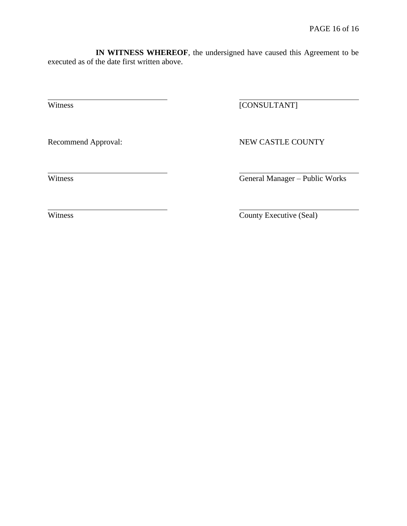**IN WITNESS WHEREOF**, the undersigned have caused this Agreement to be executed as of the date first written above.

Witness [CONSULTANT]

Recommend Approval: NEW CASTLE COUNTY

Witness General Manager – Public Works

Witness County Executive (Seal)